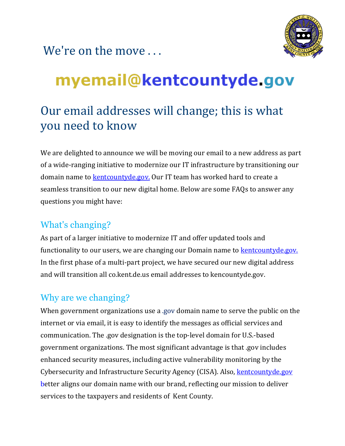



# myemail@kentcountyde.gov

# Our email addresses will change; this is what you need to know

We are delighted to announce we will be moving our email to a new address as part of a wide-ranging initiative to modernize our IT infrastructure by transitioning our domain name to **kentcountyde.gov.** Our IT team has worked hard to create a seamless transition to our new digital home. Below are some FAQs to answer any questions you might have:

#### What's changing?

As part of a larger initiative to modernize IT and offer updated tools and functionality to our users, we are changing our Domain name to **kentcountyde.gov.** In the first phase of a multi-part project, we have secured our new digital address and will transition all co.kent.de.us email addresses to kencountyde.gov.

## Why are we changing?

When government organizations use a .gov domain name to serve the public on the internet or via email, it is easy to identify the messages as official services and communication. The .gov designation is the top-level domain for U.S.-based government organizations. The most significant advantage is that .gov includes enhanced security measures, including active vulnerability monitoring by the Cybersecurity and Infrastructure Security Agency (CISA). Also, [kentcountyde.gov](https://kentcountyde.gov/) better aligns our domain name with our brand, reflecting our mission to deliver services to the taxpayers and residents of Kent County.